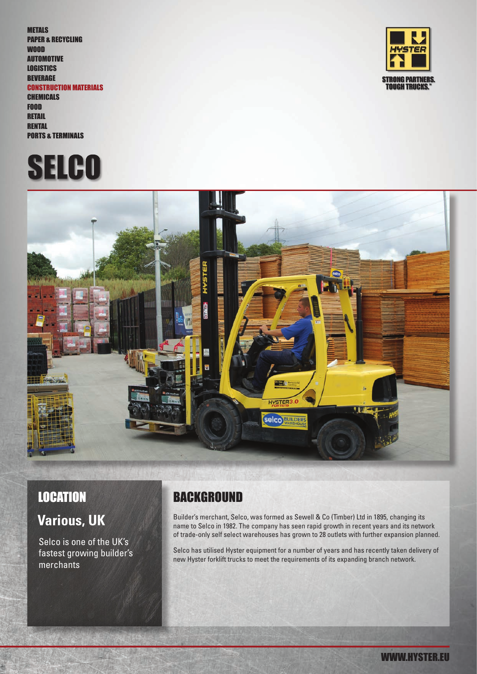METALS PAPER & RECYCLING WOOD AUTOMOTIVE **LOGISTICS BEVERAGE** CONSTRUCTION MATERIALS CHEMICALS FOOD **RETAIL** 

**RENTAL** PORTS & TERMINALS





WWW.HYSTER.EU



# **Various, UK**

Selco is one of the UK's fastest growing builder's merchants

## LOCATION BACKGROUND

Builder's merchant, Selco, was formed as Sewell & Co (Timber) Ltd in 1895, changing its name to Selco in 1982. The company has seen rapid growth in recent years and its network of trade-only self select warehouses has grown to 28 outlets with further expansion planned.

Selco has utilised Hyster equipment for a number of years and has recently taken delivery of new Hyster forklift trucks to meet the requirements of its expanding branch network.